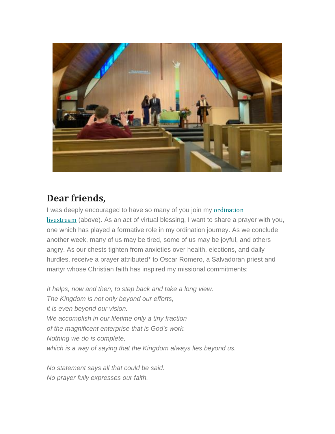

## **Dear friends,**

I was deeply encouraged to have so many of you join my [ordination](https://eur06.safelinks.protection.outlook.com/?url=https%3A%2F%2Fresonateglobalmission.us9.list-manage.com%2Ftrack%2Fclick%3Fu%3D4690171b22d7a44aa4f860a7a%26id%3Dd5a7871254%26e%3D636b6792f8&data=04%7C01%7C%7C18246e47ee14405e40dd08d87d1a2bb2%7C84df9e7fe9f640afb435aaaaaaaaaaaa%7C1%7C0%7C637396898634748493%7CUnknown%7CTWFpbGZsb3d8eyJWIjoiMC4wLjAwMDAiLCJQIjoiV2luMzIiLCJBTiI6Ik1haWwiLCJXVCI6Mn0%3D%7C1000&sdata=r7qsKwcg9zLau40Fsoe68rWuC%2FBU58hubM5czLQx%2Fq0%3D&reserved=0) [livestream](https://eur06.safelinks.protection.outlook.com/?url=https%3A%2F%2Fresonateglobalmission.us9.list-manage.com%2Ftrack%2Fclick%3Fu%3D4690171b22d7a44aa4f860a7a%26id%3Dd5a7871254%26e%3D636b6792f8&data=04%7C01%7C%7C18246e47ee14405e40dd08d87d1a2bb2%7C84df9e7fe9f640afb435aaaaaaaaaaaa%7C1%7C0%7C637396898634748493%7CUnknown%7CTWFpbGZsb3d8eyJWIjoiMC4wLjAwMDAiLCJQIjoiV2luMzIiLCJBTiI6Ik1haWwiLCJXVCI6Mn0%3D%7C1000&sdata=r7qsKwcg9zLau40Fsoe68rWuC%2FBU58hubM5czLQx%2Fq0%3D&reserved=0) (above). As an act of virtual blessing, I want to share a prayer with you, one which has played a formative role in my ordination journey. As we conclude another week, many of us may be tired, some of us may be joyful, and others angry. As our chests tighten from anxieties over health, elections, and daily hurdles, receive a prayer attributed\* to Oscar Romero, a Salvadoran priest and martyr whose Christian faith has inspired my missional commitments:

*It helps, now and then, to step back and take a long view. The Kingdom is not only beyond our efforts, it is even beyond our vision. We accomplish in our lifetime only a tiny fraction of the magnificent enterprise that is God's work. Nothing we do is complete, which is a way of saying that the Kingdom always lies beyond us.*

*No statement says all that could be said. No prayer fully expresses our faith.*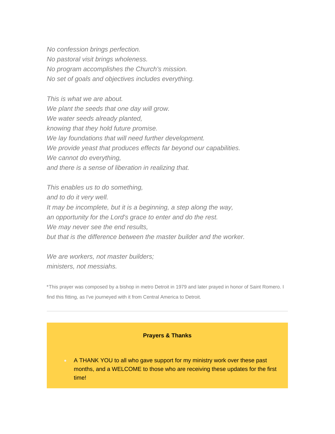*No confession brings perfection. No pastoral visit brings wholeness. No program accomplishes the Church's mission. No set of goals and objectives includes everything.*

*This is what we are about. We plant the seeds that one day will grow. We water seeds already planted, knowing that they hold future promise. We lay foundations that will need further development. We provide yeast that produces effects far beyond our capabilities. We cannot do everything, and there is a sense of liberation in realizing that.*

*This enables us to do something, and to do it very well. It may be incomplete, but it is a beginning, a step along the way, an opportunity for the Lord's grace to enter and do the rest. We may never see the end results, but that is the difference between the master builder and the worker.*

*We are workers, not master builders; ministers, not messiahs.*

\*This prayer was composed by a bishop in metro Detroit in 1979 and later prayed in honor of Saint Romero. I find this fitting, as I've journeyed with it from Central America to Detroit.

## **Prayers & Thanks**

• A THANK YOU to all who gave support for my ministry work over these past months, and a WELCOME to those who are receiving these updates for the first time!